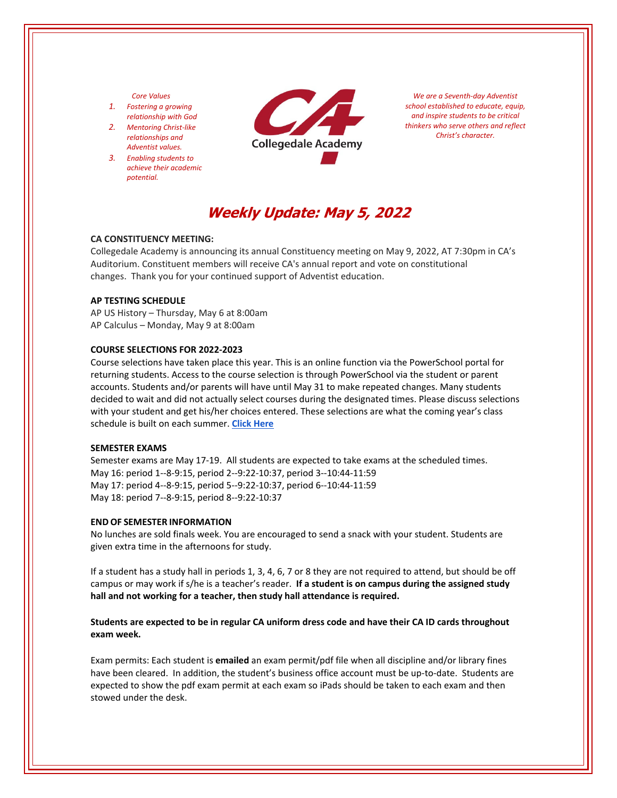### *Core Values*

- *1. Fostering a growing relationship with God*
- *2. Mentoring Christ‐like relationships and Adventist values.*
- *3. Enabling students to achieve their academic potential.*



*We are a Seventh‐day Adventist school established to educate, equip, and inspire students to be critical thinkers who serve others and reflect Christ's character.*

# **Weekly Update: May 5, 2022**

### **CA CONSTITUENCY MEETING:**

Collegedale Academy is announcing its annual Constituency meeting on May 9, 2022, AT 7:30pm in CA's Auditorium. Constituent members will receive CA's annual report and vote on constitutional changes. Thank you for your continued support of Adventist education.

### **AP TESTING SCHEDULE**

AP US History – Thursday, May 6 at 8:00am AP Calculus – Monday, May 9 at 8:00am

# **COURSE SELECTIONS FOR 2022‐2023**

Course selections have taken place this year. This is an online function via the PowerSchool portal for returning students. Access to the course selection is through PowerSchool via the student or parent accounts. Students and/or parents will have until May 31 to make repeated changes. Many students decided to wait and did not actually select courses during the designated times. Please discuss selections with your student and get his/her choices entered. These selections are what the coming year's class schedule is built on each summer. **Click [Here](https://www.collegedaleacademy.com/welcome-to-ca/academics/course-sequence/)**

### **SEMESTER EXAMS**

Semester exams are May 17‐19. All students are expected to take exams at the scheduled times. May 16: period 1‐‐8‐9:15, period 2‐‐9:22‐10:37, period 3‐‐10:44‐11:59 May 17: period 4‐‐8‐9:15, period 5‐‐9:22‐10:37, period 6‐‐10:44‐11:59 May 18: period 7‐‐8‐9:15, period 8‐‐9:22‐10:37

#### **END OF SEMESTER INFORMATION**

No lunches are sold finals week. You are encouraged to send a snack with your student. Students are given extra time in the afternoons for study.

If a student has a study hall in periods 1, 3, 4, 6, 7 or 8 they are not required to attend, but should be off campus or may work if s/he is a teacher's reader. **If a student is on campus during the assigned study hall and not working for a teacher, then study hall attendance is required.** 

# **Students are expected to be in regular CA uniform dress code and have their CA ID cards throughout exam week.**

Exam permits: Each student is **emailed** an exam permit/pdf file when all discipline and/or library fines have been cleared. In addition, the student's business office account must be up-to-date. Students are expected to show the pdf exam permit at each exam so iPads should be taken to each exam and then stowed under the desk.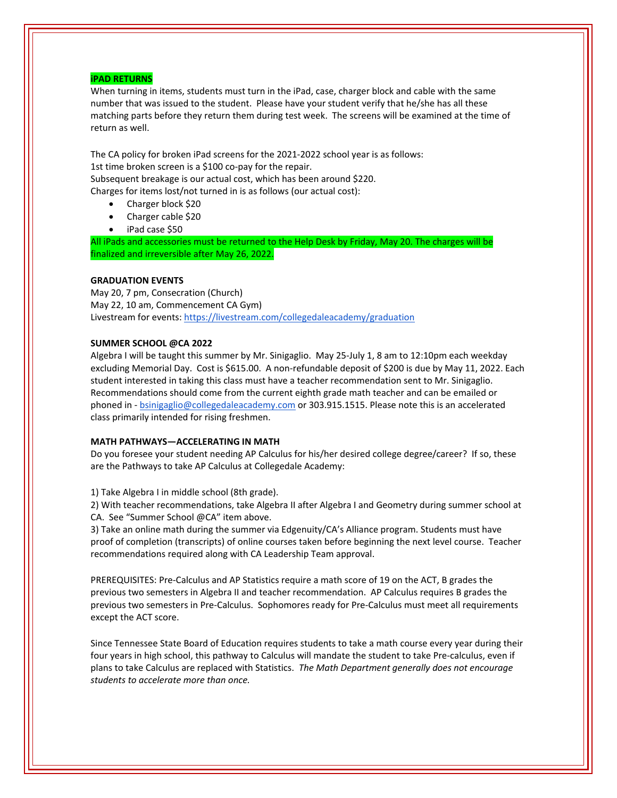## **iPAD RETURNS**

When turning in items, students must turn in the iPad, case, charger block and cable with the same number that was issued to the student. Please have your student verify that he/she has all these matching parts before they return them during test week. The screens will be examined at the time of return as well.

The CA policy for broken iPad screens for the 2021‐2022 school year is as follows: 1st time broken screen is a \$100 co‐pay for the repair. Subsequent breakage is our actual cost, which has been around \$220.

Charges for items lost/not turned in is as follows (our actual cost):

- Charger block \$20
- Charger cable \$20
- iPad case \$50

All iPads and accessories must be returned to the Help Desk by Friday, May 20. The charges will be finalized and irreversible after May 26, 2022.

# **GRADUATION EVENTS**

May 20, 7 pm, Consecration (Church) May 22, 10 am, Commencement CA Gym) Livestream for events: <https://livestream.com/collegedaleacademy/graduation>

# **SUMMER SCHOOL @CA 2022**

Algebra I will be taught this summer by Mr. Sinigaglio. May 25‐July 1, 8 am to 12:10pm each weekday excluding Memorial Day. Cost is \$615.00. A non-refundable deposit of \$200 is due by May 11, 2022. Each student interested in taking this class must have a teacher recommendation sent to Mr. Sinigaglio. Recommendations should come from the current eighth grade math teacher and can be emailed or phoned in ‐ bsinigaglio@collegedaleacademy.com or 303.915.1515. Please note this is an accelerated class primarily intended for rising freshmen.

## **MATH PATHWAYS—ACCELERATING IN MATH**

Do you foresee your student needing AP Calculus for his/her desired college degree/career? If so, these are the Pathways to take AP Calculus at Collegedale Academy:

1) Take Algebra I in middle school (8th grade).

2) With teacher recommendations, take Algebra II after Algebra I and Geometry during summer school at CA. See "Summer School @CA" item above.

3) Take an online math during the summer via Edgenuity/CA's Alliance program. Students must have proof of completion (transcripts) of online courses taken before beginning the next level course. Teacher recommendations required along with CA Leadership Team approval.

PREREQUISITES: Pre‐Calculus and AP Statistics require a math score of 19 on the ACT, B grades the previous two semesters in Algebra II and teacher recommendation. AP Calculus requires B grades the previous two semesters in Pre‐Calculus. Sophomores ready for Pre‐Calculus must meet all requirements except the ACT score.

Since Tennessee State Board of Education requires students to take a math course every year during their four years in high school, this pathway to Calculus will mandate the student to take Pre‐calculus, even if plans to take Calculus are replaced with Statistics. *The Math Department generally does not encourage students to accelerate more than once.*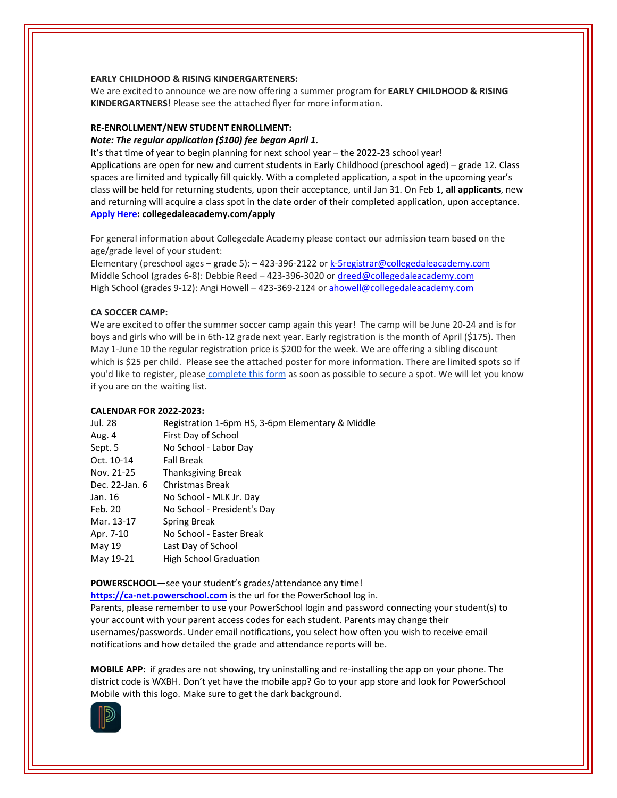## **EARLY CHILDHOOD & RISING KINDERGARTENERS:**

We are excited to announce we are now offering a summer program for **EARLY CHILDHOOD & RISING KINDERGARTNERS!** Please see the attached flyer for more information.

# **RE‐ENROLLMENT/NEW STUDENT ENROLLMENT:**

#### *Note: The regular application (\$100) fee began April 1.*

It's that time of year to begin planning for next school year – the 2022-23 school year! Applications are open for new and current students in Early Childhood (preschool aged) – grade 12. Class spaces are limited and typically fill quickly. With a completed application, a spot in the upcoming year's class will be held for returning students, upon their acceptance, until Jan 31. On Feb 1, **all applicants**, new and returning will acquire a class spot in the date order of their completed application, upon acceptance. **[Apply](collegedaleacademy.com/apply) Here: collegedaleacademy.com/apply**

For general information about Collegedale Academy please contact our admission team based on the age/grade level of your student:

Elementary (preschool ages – grade 5): – 423‐396‐2122 or k‐5registrar@collegedaleacademy.com Middle School (grades 6-8): Debbie Reed - 423-396-3020 or dreed@collegedaleacademy.com High School (grades 9‐12): Angi Howell – 423‐369‐2124 or ahowell@collegedaleacademy.com

## **CA SOCCER CAMP:**

We are excited to offer the summer soccer camp again this year! The camp will be June 20‐24 and is for boys and girls who will be in 6th‐12 grade next year. Early registration is the month of April (\$175). Then May 1‐June 10 the regular registration price is \$200 for the week. We are offering a sibling discount which is \$25 per child. Please see the attached poster for more information. There are limited spots so if you'd like to register, please [complete](https://docs.google.com/forms/d/e/1FAIpQLSd7F9MiyyKrREO9wjKqHyqIU2PvgvAk4mvqSDD298h4UqnFjA/viewform?usp=send_form) this form as soon as possible to secure a spot. We will let you know if you are on the waiting list.

## **CALENDAR FOR 2022‐2023:**

| Registration 1-6pm HS, 3-6pm Elementary & Middle |
|--------------------------------------------------|
| First Day of School                              |
| No School - Labor Day                            |
| <b>Fall Break</b>                                |
| <b>Thanksgiving Break</b>                        |
| Christmas Break                                  |
| No School - MLK Jr. Day                          |
| No School - President's Day                      |
| Spring Break                                     |
| No School - Easter Break                         |
| Last Day of School                               |
| <b>High School Graduation</b>                    |
|                                                  |

**POWERSCHOOL—**see your student's grades/attendance any time!

**https://ca-[net.powerschool.com](https://ca-net.powerschool.com/public/)** is the url for the PowerSchool log in.

Parents, please remember to use your PowerSchool login and password connecting your student(s) to your account with your parent access codes for each student. Parents may change their usernames/passwords. Under email notifications, you select how often you wish to receive email notifications and how detailed the grade and attendance reports will be.

**MOBILE APP:** if grades are not showing, try uninstalling and re‐installing the app on your phone. The district code is WXBH. Don't yet have the mobile app? Go to your app store and look for PowerSchool Mobile with this logo. Make sure to get the dark background.